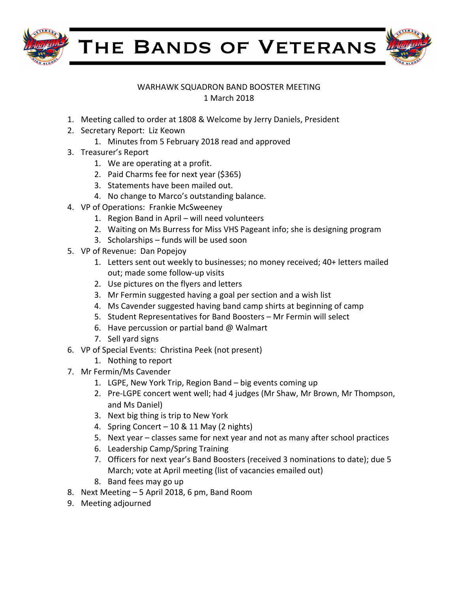

THE BANDS OF VETERANS



## WARHAWK SQUADRON BAND BOOSTER MEETING 1 March 2018

- 1. Meeting called to order at 1808 & Welcome by Jerry Daniels, President
- 2. Secretary Report: Liz Keown
	- 1. Minutes from 5 February 2018 read and approved
- 3. Treasurer's Report
	- 1. We are operating at a profit.
	- 2. Paid Charms fee for next year (\$365)
	- 3. Statements have been mailed out.
	- 4. No change to Marco's outstanding balance.
- 4. VP of Operations: Frankie McSweeney
	- 1. Region Band in April will need volunteers
	- 2. Waiting on Ms Burress for Miss VHS Pageant info; she is designing program
	- 3. Scholarships  $-$  funds will be used soon
- 5. VP of Revenue: Dan Popejoy
	- 1. Letters sent out weekly to businesses; no money received; 40+ letters mailed out; made some follow-up visits
	- 2. Use pictures on the flyers and letters
	- 3. Mr Fermin suggested having a goal per section and a wish list
	- 4. Ms Cavender suggested having band camp shirts at beginning of camp
	- 5. Student Representatives for Band Boosters Mr Fermin will select
	- 6. Have percussion or partial band  $@$  Walmart
	- 7. Sell vard signs
- 6. VP of Special Events: Christina Peek (not present)
	- 1. Nothing to report
- 7. Mr Fermin/Ms Cavender
	- 1. LGPE, New York Trip, Region Band big events coming up
	- 2. Pre-LGPE concert went well; had 4 judges (Mr Shaw, Mr Brown, Mr Thompson, and Ms Daniel)
	- 3. Next big thing is trip to New York
	- 4. Spring Concert  $-10 & 11$  May (2 nights)
	- 5. Next year classes same for next year and not as many after school practices
	- 6. Leadership Camp/Spring Training
	- 7. Officers for next year's Band Boosters (received 3 nominations to date); due 5 March; vote at April meeting (list of vacancies emailed out)
	- 8. Band fees may go up
- 8. Next Meeting 5 April 2018, 6 pm, Band Room
- 9. Meeting adjourned